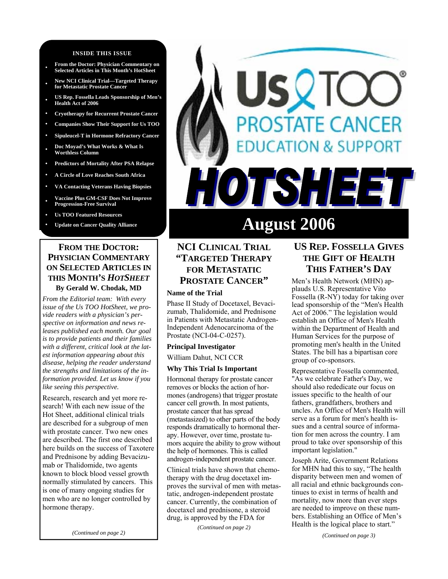#### **INSIDE THIS ISSUE**

- **From the Doctor: Physician Commentary on Selected Articles in This Month's HotSheet**
- **• New NCI Clinical Trial—Targeted Therapy for Metastatic Prostate Cancer**
- **• US Rep. Fossella Leads Sponsorship of Men's Health Act of 2006**
- **• Cryotherapy for Recurrent Prostate Cancer**
- **• Companies Show Their Support for Us TOO**
- **• Sipuleucel-T in Hormone Refractory Cancer**
- **• Doc Moyad's What Works & What Is Worthless Column**
- **• Predictors of Mortality After PSA Relapse**
- **• A Circle of Love Reaches South Africa**
- **• VA Contacting Veterans Having Biopsies**
- **• Vaccine Plus GM-CSF Does Not Improve Progression-Free Survival**
- **• Us TOO Featured Resources**
- 

#### **FROM THE DOCTOR: PHYSICIAN COMMENTARY ON SELECTED ARTICLES IN THIS MONTH'S** *HOTSHEET* **By Gerald W. Chodak, MD**

*From the Editorial team: With every issue of the Us TOO HotSheet, we provide readers with a physician's perspective on information and news releases published each month. Our goal is to provide patients and their families with a different, critical look at the latest information appearing about this disease, helping the reader understand the strengths and limitations of the information provided. Let us know if you like seeing this perspective.* 

Research, research and yet more research! With each new issue of the Hot Sheet, additional clinical trials are described for a subgroup of men with prostate cancer. Two new ones are described. The first one described here builds on the success of Taxotere and Prednisone by adding Bevacizumab or Thalidomide, two agents known to block blood vessel growth normally stimulated by cancers. This is one of many ongoing studies for men who are no longer controlled by hormone therapy.

#### *(Continued on page 2)*

# SVIC **OSTATE CANCER ION & SUPPORT** OTSHEE

## Update on Cancer Quality Alliance **August 2006**

#### **NCI CLINICAL TRIAL "TARGETED THERAPY FOR METASTATIC PROSTATE CANCER"**

#### **Name of the Trial**

Phase II Study of Docetaxel, Bevacizumab, Thalidomide, and Prednisone in Patients with Metastatic Androgen-Independent Adenocarcinoma of the Prostate (NCI-04-C-0257).

#### **Principal Investigator**

William Dahut, NCI CCR

#### **Why This Trial Is Important**

Hormonal therapy for prostate cancer removes or blocks the action of hormones (androgens) that trigger prostate cancer cell growth. In most patients, prostate cancer that has spread (metastasized) to other parts of the body responds dramatically to hormonal therapy. However, over time, prostate tumors acquire the ability to grow without the help of hormones. This is called androgen-independent prostate cancer.

Clinical trials have shown that chemotherapy with the drug docetaxel improves the survival of men with metastatic, androgen-independent prostate cancer. Currently, the combination of docetaxel and prednisone, a steroid drug, is approved by the FDA for

*(Continued on page 2)* 

#### **US REP. FOSSELLA GIVES THE GIFT OF HEALTH THIS FATHER'S DAY**

Men's Health Network (MHN) applauds U.S. Representative Vito Fossella (R-NY) today for taking over lead sponsorship of the "Men's Health Act of 2006." The legislation would establish an Office of Men's Health within the Department of Health and Human Services for the purpose of promoting men's health in the United States. The bill has a bipartisan core group of co-sponsors.

Representative Fossella commented, "As we celebrate Father's Day, we should also rededicate our focus on issues specific to the health of our fathers, grandfathers, brothers and uncles. An Office of Men's Health will serve as a forum for men's health issues and a central source of information for men across the country. I am proud to take over sponsorship of this important legislation."

Joseph Arite, Government Relations for MHN had this to say, "The health disparity between men and women of all racial and ethnic backgrounds continues to exist in terms of health and mortality, now more than ever steps are needed to improve on these numbers. Establishing an Office of Men's Health is the logical place to start."

*(Continued on page 3)*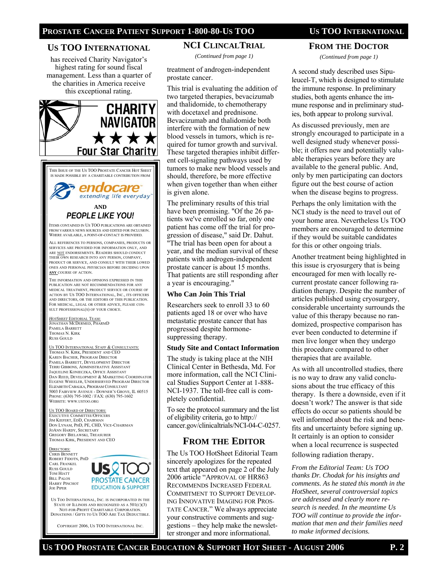#### **US TOO INTERNATIONAL**

has received Charity Navigator's highest rating for sound fiscal management. Less than a quarter of the charities in America receive this exceptional rating.



DONATIONS / GIFTS TO US TOO ARE TAX DEDUCTIBLE.

COPYRIGHT 2006, US TOO INTERNATIONAL INC.

#### **NCI CLINCALTRIAL**

*(Continued from page 1)* 

treatment of androgen-independent prostate cancer.

This trial is evaluating the addition of two targeted therapies, bevacizumab and thalidomide, to chemotherapy with docetaxel and prednisone. Bevacizumab and thalidomide both interfere with the formation of new blood vessels in tumors, which is required for tumor growth and survival. These targeted therapies inhibit different cell-signaling pathways used by tumors to make new blood vessels and should, therefore, be more effective when given together than when either is given alone.

The preliminary results of this trial have been promising. "Of the 26 patients we've enrolled so far, only one patient has come off the trial for progression of disease," said Dr. Dahut. "The trial has been open for about a year, and the median survival of these patients with androgen-independent prostate cancer is about 15 months. That patients are still responding after a year is encouraging."

#### **Who Can Join This Trial**

Researchers seek to enroll 33 to 60 patients aged 18 or over who have metastatic prostate cancer that has progressed despite hormonesuppressing therapy.

#### **Study Site and Contact Information**

The study is taking place at the NIH Clinical Center in Bethesda, Md. For more information, call the NCI Clinical Studies Support Center at 1-888- NCI-1937. The toll-free call is completely confidential.

To see the protocol summary and the list of eligibility criteria, go to http:// cancer.gov/clinicaltrials/NCI-04-C-0257.

#### **FROM THE EDITOR**

The Us TOO HotSheet Editorial Team sincerely apologizes for the repeated text that appeared on page 2 of the July 2006 article "APPROVAL OF HR863 RECOMMENDS INCREASED FEDERAL COMMITMENT TO SUPPORT DEVELOP-ING INNOVATIVE IMAGING FOR PROS-TATE CANCER." We always appreciate your constructive comments and suggestions – they help make the newsletter stronger and more informational.

#### **FROM THE DOCTOR**

*(Continued from page 1)* 

A second study described uses Sipuleucel-T, which is designed to stimulate the immune response. In preliminary studies, both agents enhance the immune response and in preliminary studies, both appear to prolong survival.

As discussed previously, men are strongly encouraged to participate in a well designed study whenever possible; it offers new and potentially valuable therapies years before they are available to the general public. And, only by men participating can doctors figure out the best course of action when the disease begins to progress.

Perhaps the only limitation with the NCI study is the need to travel out of your home area. Nevertheless Us TOO members are encouraged to determine if they would be suitable candidates for this or other ongoing trials.

Another treatment being highlighted in this issue is cryosurgery that is being encouraged for men with locally recurrent prostate cancer following radiation therapy. Despite the number of articles published using cryosurgery, considerable uncertainty surrounds the value of this therapy because no randomized, prospective comparison has ever been conducted to determine if men live longer when they undergo this procedure compared to other therapies that are available.

As with all uncontrolled studies, there is no way to draw any valid conclusions about the true efficacy of this therapy. Is there a downside, even if it doesn't work? The answer is that side effects do occur so patients should be well informed about the risk and benefits and uncertainty before signing up. It certainly is an option to consider when a local recurrence is suspected following radiation therapy.

*From the Editorial Team: Us TOO thanks Dr. Chodak for his insights and comments. As he stated this month in the HotSheet, several controversial topics are addressed and clearly more research is needed. In the meantime Us TOO will continue to provide the information that men and their families need to make informed decisions.*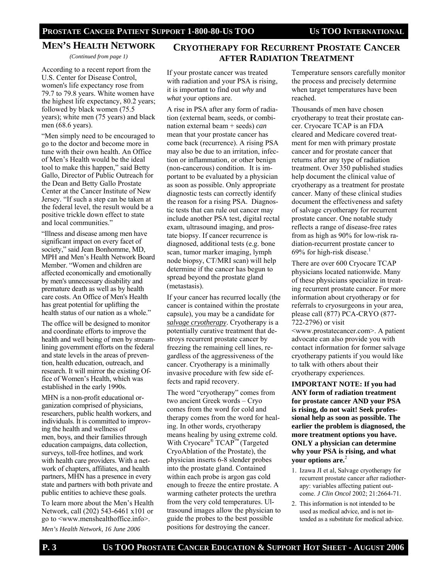#### **MEN'S HEALTH NETWORK**

*(Continued from page 1)* 

According to a recent report from the U.S. Center for Disease Control, women's life expectancy rose from 79.7 to 79.8 years. White women have the highest life expectancy, 80.2 years; followed by black women (75.5 years); white men (75 years) and black men (68.6 years).

"Men simply need to be encouraged to go to the doctor and become more in tune with their own health. An Office of Men's Health would be the ideal tool to make this happen," said Betty Gallo, Director of Public Outreach for the Dean and Betty Gallo Prostate Center at the Cancer Institute of New Jersey. "If such a step can be taken at the federal level, the result would be a positive trickle down effect to state and local communities."

"Illness and disease among men have significant impact on every facet of society," said Jean Bonhomme, MD, MPH and Men's Health Network Board Member. "Women and children are affected economically and emotionally by men's unnecessary disability and premature death as well as by health care costs. An Office of Men's Health has great potential for uplifting the health status of our nation as a whole."

The office will be designed to monitor and coordinate efforts to improve the health and well being of men by streamlining government efforts on the federal and state levels in the areas of prevention, health education, outreach, and research. It will mirror the existing Office of Women's Health, which was established in the early 1990s.

MHN is a non-profit educational organization comprised of physicians, researchers, public health workers, and individuals. It is committed to improving the health and wellness of men, boys, and their families through education campaigns, data collection, surveys, toll-free hotlines, and work with health care providers. With a network of chapters, affiliates, and health partners, MHN has a presence in every state and partners with both private and public entities to achieve these goals.

To learn more about the Men's Health Network, call (202) 543-6461 x101 or go to <www.menshealthoffice.info>.

*Men's Health Network, 16 June 2006* 

#### **CRYOTHERAPY FOR RECURRENT PROSTATE CANCER AFTER RADIATION TREATMENT**

If your prostate cancer was treated with radiation and your PSA is rising, it is important to find out *why* and *what* your options are.

A rise in PSA after any form of radiation (external beam, seeds, or combination external beam + seeds) *can* mean that your prostate cancer has come back (recurrence). A rising PSA may also be due to an irritation, infection or inflammation, or other benign (non-cancerous) condition. It is important to be evaluated by a physician as soon as possible. Only appropriate diagnostic tests can correctly identify the reason for a rising PSA. Diagnostic tests that can rule out cancer may include another PSA test, digital rectal exam, ultrasound imaging, and prostate biopsy. If cancer recurrence is diagnosed, additional tests (e.g. bone scan, tumor marker imaging, lymph node biopsy, CT/MRI scan) will help determine if the cancer has begun to spread beyond the prostate gland (metastasis).

If your cancer has recurred locally (the cancer is contained within the prostate capsule), you may be a candidate for *salvage cryotherapy*. Cryotherapy is a potentially curative treatment that destroys recurrent prostate cancer by freezing the remaining cell lines, regardless of the aggressiveness of the cancer. Cryotherapy is a minimally invasive procedure with few side effects and rapid recovery.

The word "cryotherapy" comes from two ancient Greek words – Cryo comes from the word for cold and therapy comes from the word for healing. In other words, cryotherapy means healing by using extreme cold. With Cryocare<sup>®</sup> TCAP<sup>™</sup> (Targeted CryoAblation of the Prostate), the physician inserts 6-8 slender probes into the prostate gland. Contained within each probe is argon gas cold enough to freeze the entire prostate. A warming catheter protects the urethra from the very cold temperatures. Ultrasound images allow the physician to guide the probes to the best possible positions for destroying the cancer.

Temperature sensors carefully monitor the process and precisely determine when target temperatures have been reached.

Thousands of men have chosen cryotherapy to treat their prostate cancer. Cryocare TCAP is an FDA cleared and Medicare covered treatment for men with primary prostate cancer and for prostate cancer that returns after any type of radiation treatment. Over 350 published studies help document the clinical value of cryotherapy as a treatment for prostate cancer. Many of these clinical studies document the effectiveness and safety of salvage cryotherapy for recurrent prostate cancer. One notable study reflects a range of disease-free rates from as high as 90% for low-risk radiation-recurrent prostate cancer to 69% for high-risk disease.<sup>1</sup>

There are over 600 Cryocare TCAP physicians located nationwide. Many of these physicians specialize in treating recurrent prostate cancer. For more information about cryotherapy or for referrals to cryosurgeons in your area, please call (877) PCA-CRYO (877- 722-2796) or visit

<www.prostatecancer.com>. A patient advocate can also provide you with contact information for former salvage cryotherapy patients if you would like to talk with others about their cryotherapy experiences.

**IMPORTANT NOTE: If you had ANY form of radiation treatment for prostate cancer AND your PSA is rising, do not wait! Seek professional help as soon as possible. The earlier the problem is diagnosed, the more treatment options you have. ONLY a physician can determine why your PSA is rising, and what your options are.**<sup>2</sup>

- 1. Izawa JI et al, Salvage cryotherapy for recurrent prostate cancer after radiotherapy: variables affecting patient outcome. *J Clin Oncol* 2002; 21:2664-71.
- 2. This information is not intended to be used as medical advice, and is not intended as a substitute for medical advice.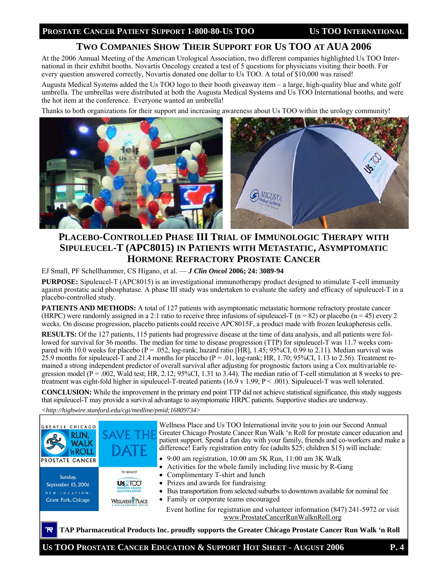### **TWO COMPANIES SHOW THEIR SUPPORT FOR US TOO AT AUA 2006**

At the 2006 Annual Meeting of the American Urological Association, two different companies highlighted Us TOO International in their exhibit booths. Novartis Oncology created a test of 5 questions for physicians visiting their booth. For every question answered correctly, Novartis donated one dollar to Us TOO. A total of \$10,000 was raised!

Augusta Medical Systems added the Us TOO logo to their booth giveaway item – a large, high-quality blue and white golf umbrella. The umbrellas were distributed at both the Augusta Medical Systems and Us TOO International booths, and were the hot item at the conference. Everyone wanted an umbrella!

Thanks to both organizations for their support and increasing awareness about Us TOO within the urology community!



#### **PLACEBO-CONTROLLED PHASE III TRIAL OF IMMUNOLOGIC THERAPY WITH SIPULEUCEL-T (APC8015) IN PATIENTS WITH METASTATIC, ASYMPTOMATIC HORMONE REFRACTORY PROSTATE CANCER**

EJ Small, PF Schellhammer, CS Higano, et al. — *J Clin Oncol* **2006; 24: 3089-94** 

**PURPOSE:** Sipuleucel-T (APC8015) is an investigational immunotherapy product designed to stimulate T-cell immunity against prostatic acid phosphatase. A phase III study was undertaken to evaluate the safety and efficacy of sipuleucel-T in a placebo-controlled study.

**PATIENTS AND METHODS:** A total of 127 patients with asymptomatic metastatic hormone refractory prostate cancer (HRPC) were randomly assigned in a 2:1 ratio to receive three infusions of sipuleucel-T ( $n = 82$ ) or placebo ( $n = 45$ ) every 2 weeks. On disease progression, placebo patients could receive APC8015F, a product made with frozen leukapheresis cells.

**RESULTS:** Of the 127 patients, 115 patients had progressive disease at the time of data analysis, and all patients were followed for survival for 36 months. The median for time to disease progression (TTP) for sipuleucel-T was 11.7 weeks compared with 10.0 weeks for placebo (P = .052, log-rank; hazard ratio [HR], 1.45; 95%CI, 0.99 to 2.11). Median survival was 25.9 months for sipuleucel-T and 21.4 months for placebo ( $P = .01$ , log-rank; HR, 1.70; 95%CI, 1.13 to 2.56). Treatment remained a strong independent predictor of overall survival after adjusting for prognostic factors using a Cox multivariable regression model  $(P = .002,$  Wald test; HR, 2.12; 95%CI, 1.31 to 3.44). The median ratio of T-cell stimulation at 8 weeks to pretreatment was eight-fold higher in sipuleucel-T-treated patients ( $16.9 \text{ v } 1.99$ ; P < .001). Sipuleucel-T was well tolerated.

**CONCLUSION:** While the improvement in the primary end point TTP did not achieve statistical significance, this study suggests that sipuleucel-T may provide a survival advantage to asymptomatic HRPC patients. Supportive studies are underway.

*<http://highwire.stanford.edu/cgi/medline/pmid;16809734>* 

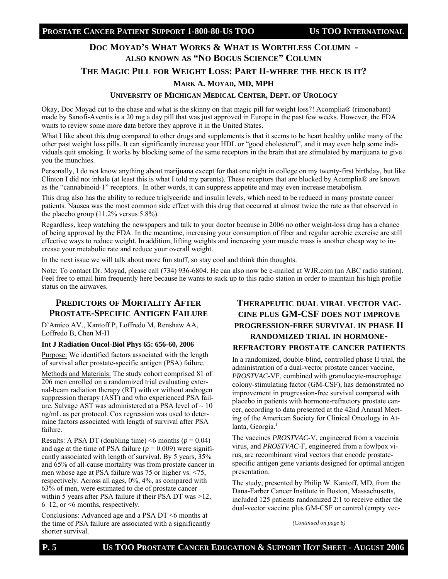#### **DOC MOYAD'S WHAT WORKS & WHAT IS WORTHLESS COLUMN - ALSO KNOWN AS "NO BOGUS SCIENCE" COLUMN**

#### **THE MAGIC PILL FOR WEIGHT LOSS: PART II-WHERE THE HECK IS IT?**

#### **MARK A. MOYAD, MD, MPH**

#### **UNIVERSITY OF MICHIGAN MEDICAL CENTER, DEPT. OF UROLOGY**

Okay, Doc Moyad cut to the chase and what is the skinny on that magic pill for weight loss?! Acomplia® (rimonabant) made by Sanofi-Aventis is a 20 mg a day pill that was just approved in Europe in the past few weeks. However, the FDA wants to review some more data before they approve it in the United States.

What I like about this drug compared to other drugs and supplements is that it seems to be heart healthy unlike many of the other past weight loss pills. It can significantly increase your HDL or "good cholesterol", and it may even help some individuals quit smoking. It works by blocking some of the same receptors in the brain that are stimulated by marijuana to give you the munchies.

Personally, I do not know anything about marijuana except for that one night in college on my twenty-first birthday, but like Clinton I did not inhale (at least this is what I told my parents). These receptors that are blocked by Acomplia® are known as the "cannabinoid-1" receptors. In other words, it can suppress appetite and may even increase metabolism.

This drug also has the ability to reduce triglyceride and insulin levels, which need to be reduced in many prostate cancer patients. Nausea was the most common side effect with this drug that occurred at almost twice the rate as that observed in the placebo group  $(11.2\% \text{ versus } 5.8\%).$ 

Regardless, keep watching the newspapers and talk to your doctor because in 2006 no other weight-loss drug has a chance of being approved by the FDA. In the meantime, increasing your consumption of fiber and regular aerobic exercise are still effective ways to reduce weight. In addition, lifting weights and increasing your muscle mass is another cheap way to increase your metabolic rate and reduce your overall weight.

In the next issue we will talk about more fun stuff, so stay cool and think thin thoughts.

Note: To contact Dr. Moyad, please call (734) 936-6804. He can also now be e-mailed at WJR.com (an ABC radio station). Feel free to email him frequently here because he wants to suck up to this radio station in order to maintain his high profile status on the airwaves.

#### **PREDICTORS OF MORTALITY AFTER PROSTATE-SPECIFIC ANTIGEN FAILURE**

D'Amico AV., Kantoff P, Loffredo M, Renshaw AA, Loffredo B, Chen M-H

#### **Int J Radiation Oncol-Biol Phys 65: 656-60, 2006**

Purpose: We identified factors associated with the length of survival after prostate-specific antigen (PSA) failure.

Methods and Materials: The study cohort comprised 81 of 206 men enrolled on a randomized trial evaluating external-beam radiation therapy (RT) with or without androgen suppression therapy (AST) and who experienced PSA failure. Salvage AST was administered at a PSA level of  $\sim 10$ ng/mL as per protocol. Cox regression was used to determine factors associated with length of survival after PSA failure.

<u>Results:</u> A PSA DT (doubling time) <6 months ( $p = 0.04$ ) and age at the time of PSA failure  $(p = 0.009)$  were significantly associated with length of survival. By 5 years, 35% and 65% of all-cause mortality was from prostate cancer in men whose age at PSA failure was 75 or higher vs. <75, respectively. Across all ages, 0%, 4%, as compared with 63% of men, were estimated to die of prostate cancer within 5 years after PSA failure if their PSA DT was >12, 6–12, or <6 months, respectively.

Conclusions: Advanced age and a PSA DT <6 months at the time of PSA failure are associated with a significantly shorter survival.

#### **THERAPEUTIC DUAL VIRAL VECTOR VAC-CINE PLUS GM-CSF DOES NOT IMPROVE PROGRESSION-FREE SURVIVAL IN PHASE II RANDOMIZED TRIAL IN HORMONE-REFRACTORY PROSTATE CANCER PATIENTS**

In a randomized, double-blind, controlled phase II trial, the administration of a dual-vector prostate cancer vaccine, *PROSTVAC*-VF, combined with granulocyte-macrophage colony-stimulating factor (GM-CSF), has demonstrated no improvement in progression-free survival compared with placebo in patients with hormone-refractory prostate cancer, according to data presented at the 42nd Annual Meeting of the American Society for Clinical Oncology in Atlanta, Georgia.<sup>1</sup>

The vaccines *PROSTVAC*-V, engineered from a vaccinia virus, and *PROSTVAC*-F, engineered from a fowlpox virus, are recombinant viral vectors that encode prostatespecific antigen gene variants designed for optimal antigen presentation.

The study, presented by Philip W. Kantoff, MD, from the Dana-Farber Cancer Institute in Boston, Massachusetts, included 125 patients randomized 2:1 to receive either the dual-vector vaccine plus GM-CSF or control (empty vec-

*(Continued on page 6)*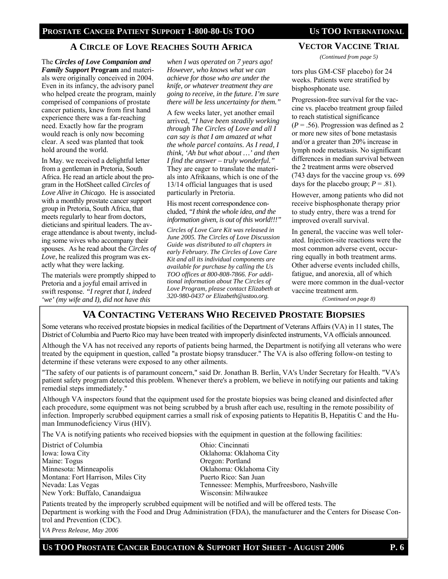#### **PROSTATE CANCER PATIENT SUPPORT 1-800-80-US TOO US TOO INTERNATIONAL**

#### **A CIRCLE OF LOVE REACHES SOUTH AFRICA**

The *Circles of Love Companion and Family Support* **Program** and materials were originally conceived in 2004. Even in its infancy, the advisory panel who helped create the program, mainly comprised of companions of prostate cancer patients, knew from first hand experience there was a far-reaching need. Exactly how far the program would reach is only now becoming clear. A seed was planted that took hold around the world.

In May. we received a delightful letter from a gentleman in Pretoria, South Africa. He read an article about the program in the HotSheet called *Circles of Love Alive in Chicago.* He is associated with a monthly prostate cancer support group in Pretoria, South Africa, that meets regularly to hear from doctors, dieticians and spiritual leaders. The average attendance is about twenty, including some wives who accompany their spouses. As he read about the *Circles of Love*, he realized this program was exactly what they were lacking.

The materials were promptly shipped to Pretoria and a joyful email arrived in swift response. *"I regret that I, indeed 'we' (my wife and I), did not have this* 

*when I was operated on 7 years ago! However, who knows what we can achieve for those who are under the knife, or whatever treatment they are going to receive, in the future. I'm sure there will be less uncertainty for them."*

A few weeks later, yet another email arrived, *"I have been steadily working through The Circles of Love and all I can say is that I am amazed at what the whole parcel contains. As I read, I think, 'Ah but what about …' and then I find the answer – truly wonderful."*  They are eager to translate the materials into Afrikaans, which is one of the 13/14 official languages that is used particularly in Pretoria.

His most recent correspondence concluded, *"I think the whole idea, and the information given, is out of this world!!!"* 

*Circles of Love Care Kit was released in June 2005. The Circles of Love Discussion Guide was distributed to all chapters in early February. The Circles of Love Care Kit and all its individual components are available for purchase by calling the Us TOO offices at 800-808-7866. For additional information about The Circles of Love Program, please contact Elizabeth at 320-980-0437 or Elizabeth@ustoo.org.* 

#### **VECTOR VACCINE TRIAL**

*(Continued from page 5)* 

tors plus GM-CSF placebo) for 24 weeks. Patients were stratified by bisphosphonate use.

Progression-free survival for the vaccine vs. placebo treatment group failed to reach statistical significance  $(P = .56)$ . Progression was defined as 2 or more new sites of bone metastasis and/or a greater than 20% increase in lymph node metastasis. No significant differences in median survival between the 2 treatment arms were observed (743 days for the vaccine group vs. 699 days for the placebo group;  $P = .81$ ).

However, among patients who did not receive bisphosphonate therapy prior to study entry, there was a trend for improved overall survival.

In general, the vaccine was well tolerated. Injection-site reactions were the most common adverse event, occurring equally in both treatment arms. Other adverse events included chills, fatigue, and anorexia, all of which were more common in the dual-vector vaccine treatment arm.

*(Continued on page 8)* 

#### **VA CONTACTING VETERANS WHO RECEIVED PROSTATE BIOPSIES**

Some veterans who received prostate biopsies in medical facilities of the Department of Veterans Affairs (VA) in 11 states, The District of Columbia and Puerto Rico may have been treated with improperly disinfected instruments, VA officials announced.

Although the VA has not received any reports of patients being harmed, the Department is notifying all veterans who were treated by the equipment in question, called "a prostate biopsy transducer." The VA is also offering follow-on testing to determine if these veterans were exposed to any other ailments.

"The safety of our patients is of paramount concern," said Dr. Jonathan B. Berlin, VA's Under Secretary for Health. "VA's patient safety program detected this problem. Whenever there's a problem, we believe in notifying our patients and taking remedial steps immediately."

Although VA inspectors found that the equipment used for the prostate biopsies was being cleaned and disinfected after each procedure, some equipment was not being scrubbed by a brush after each use, resulting in the remote possibility of infection. Improperly scrubbed equipment carries a small risk of exposing patients to Hepatitis B, Hepatitis C and the Human Immunodeficiency Virus (HIV).

The VA is notifying patients who received biopsies with the equipment in question at the following facilities:

District of Columbia Ohio: Cincinnati Iowa: Iowa City Oklahoma: Oklahoma City Maine: Togus Oregon: Portland Minnesota: Minneapolis Oklahoma: Oklahoma City Montana: Fort Harrison, Miles City Puerto Rico: San Juan New York: Buffalo, Canandaigua Wisconsin: Milwaukee

Nevada: Las Vegas Tennessee: Memphis, Murfreesboro, Nashville

Patients treated by the improperly scrubbed equipment will be notified and will be offered tests. The Department is working with the Food and Drug Administration (FDA), the manufacturer and the Centers for Disease Control and Prevention (CDC).

*VA Press Release, May 2006* 

US TOO PROSTATE CANCER EDUCATION **& SUPPORT HOT SHEET - AUGUST 2006** P. 6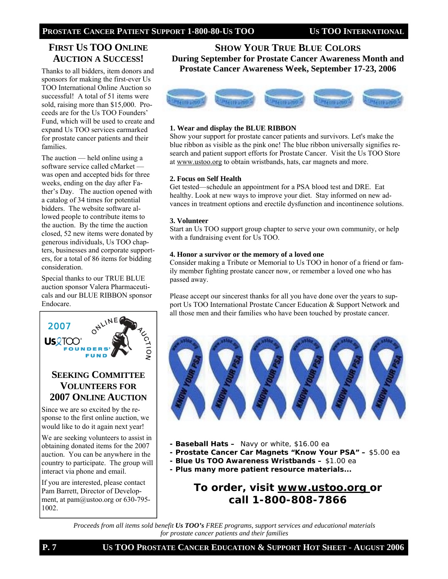## **FIRST US TOO ONLINE AUCTION A SUCCESS!**

Thanks to all bidders, item donors and sponsors for making the first-ever Us TOO International Online Auction so successful! A total of 51 items were sold, raising more than \$15,000. Proceeds are for the Us TOO Founders' Fund, which will be used to create and expand Us TOO services earmarked for prostate cancer patients and their families.

The auction — held online using a software service called cMarket was open and accepted bids for three weeks, ending on the day after Father's Day. The auction opened with a catalog of 34 times for potential bidders. The website software allowed people to contribute items to the auction. By the time the auction closed, 52 new items were donated by generous individuals, Us TOO chapters, businesses and corporate supporters, for a total of 86 items for bidding consideration.

Special thanks to our TRUE BLUE auction sponsor Valera Pharmaceuticals and our BLUE RIBBON sponsor Endocare.



**SHOW YOUR TRUE BLUE COLORS During September for Prostate Cancer Awareness Month and Prostate Cancer Awareness Week, September 17-23, 2006**



#### **1. Wear and display the BLUE RIBBON**

Show your support for prostate cancer patients and survivors. Let's make the blue ribbon as visible as the pink one! The blue ribbon universally signifies research and patient support efforts for Prostate Cancer. Visit the Us TOO Store at www.ustoo.org to obtain wristbands, hats, car magnets and more.

#### **2. Focus on Self Health**

Get tested—schedule an appointment for a PSA blood test and DRE. Eat healthy. Look at new ways to improve your diet. Stay informed on new advances in treatment options and erectile dysfunction and incontinence solutions.

#### **3. Volunteer**

Start an Us TOO support group chapter to serve your own community, or help with a fundraising event for Us TOO.

#### **4. Honor a survivor or the memory of a loved one**

Consider making a Tribute or Memorial to Us TOO in honor of a friend or family member fighting prostate cancer now, or remember a loved one who has passed away.

Please accept our sincerest thanks for all you have done over the years to support Us TOO International Prostate Cancer Education & Support Network and all those men and their families who have been touched by prostate cancer.



- **Baseball Hats** Navy or white, \$16.00 ea
- **Prostate Cancer Car Magnets "Know Your PSA"** \$5.00 ea
- **Blue Us TOO Awareness Wristbands** \$1.00 ea
- **Plus many more patient resource materials...**

*To order, visit www.ustoo.org or call 1-800-808-7866* 

*Proceeds from all items sold benefit Us TOO's FREE programs, support services and educational materials for prostate cancer patients and their families*